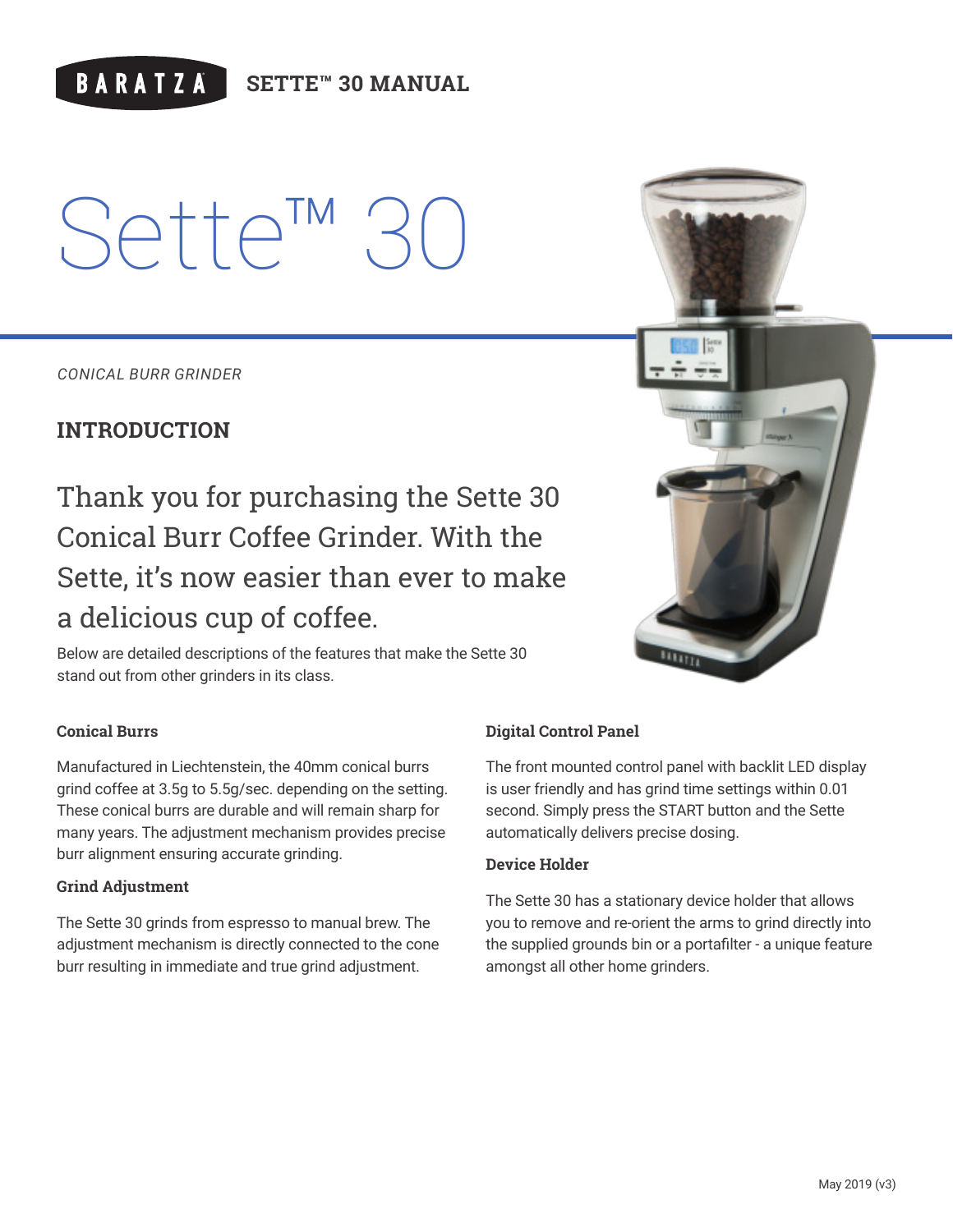# **BARATZA**

**SETTE™ 30 MANUAL**

# Sette<sup>™</sup>

*CONICAL BURR GRINDER*

# **INTRODUCTION**

Thank you for purchasing the Sette 30 Conical Burr Coffee Grinder. With the Sette, it's now easier than ever to make a delicious cup of coffee.

Below are detailed descriptions of the features that make the Sette 30 stand out from other grinders in its class.

#### **Conical Burrs**

Manufactured in Liechtenstein, the 40mm conical burrs grind coffee at 3.5g to 5.5g/sec. depending on the setting. These conical burrs are durable and will remain sharp for many years. The adjustment mechanism provides precise burr alignment ensuring accurate grinding.

#### **Grind Adjustment**

The Sette 30 grinds from espresso to manual brew. The adjustment mechanism is directly connected to the cone burr resulting in immediate and true grind adjustment.

### **Digital Control Panel**

The front mounted control panel with backlit LED display is user friendly and has grind time settings within 0.01 second. Simply press the START button and the Sette automatically delivers precise dosing.

#### **Device Holder**

The Sette 30 has a stationary device holder that allows you to remove and re-orient the arms to grind directly into the supplied grounds bin or a portafilter - a unique feature amongst all other home grinders.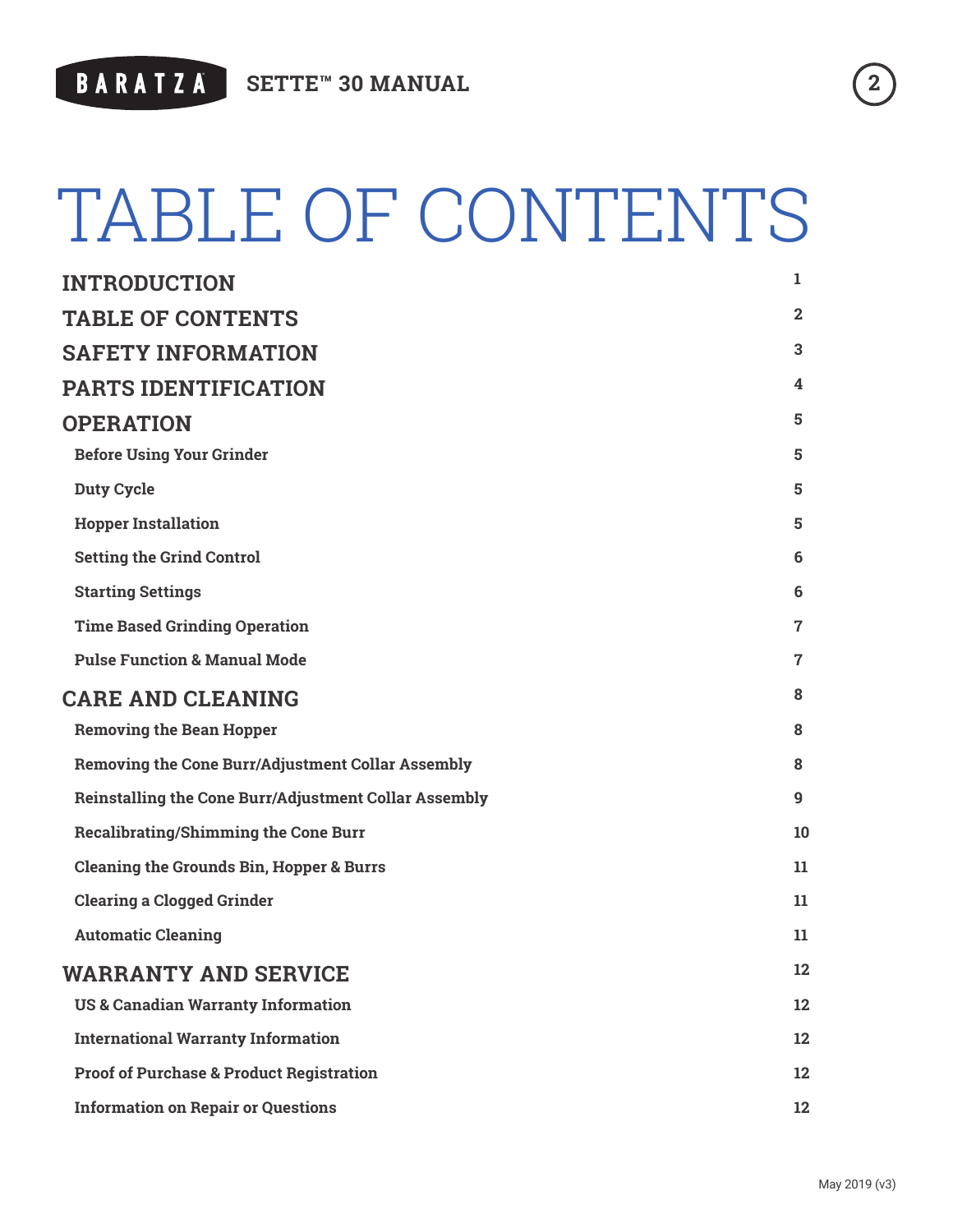

# TABLE OF CONTENTS

| <b>INTRODUCTION</b>                                          | $\mathbf{1}$   |  |
|--------------------------------------------------------------|----------------|--|
| <b>TABLE OF CONTENTS</b>                                     | $\mathbf{2}$   |  |
| <b>SAFETY INFORMATION</b>                                    | 3              |  |
| <b>PARTS IDENTIFICATION</b>                                  | 4              |  |
| <b>OPERATION</b>                                             |                |  |
| <b>Before Using Your Grinder</b>                             | 5              |  |
| <b>Duty Cycle</b>                                            | 5              |  |
| <b>Hopper Installation</b>                                   | 5              |  |
| <b>Setting the Grind Control</b>                             | 6              |  |
| <b>Starting Settings</b>                                     | 6              |  |
| <b>Time Based Grinding Operation</b>                         | $\overline{7}$ |  |
| <b>Pulse Function &amp; Manual Mode</b>                      | $\overline{7}$ |  |
| <b>CARE AND CLEANING</b>                                     | 8              |  |
| <b>Removing the Bean Hopper</b>                              | 8              |  |
| <b>Removing the Cone Burr/Adjustment Collar Assembly</b>     | 8              |  |
| <b>Reinstalling the Cone Burr/Adjustment Collar Assembly</b> | 9              |  |
| <b>Recalibrating/Shimming the Cone Burr</b>                  | 10             |  |
| <b>Cleaning the Grounds Bin, Hopper &amp; Burrs</b>          | 11             |  |
| <b>Clearing a Clogged Grinder</b>                            | 11             |  |
| <b>Automatic Cleaning</b>                                    | 11             |  |
| <b>WARRANTY AND SERVICE</b>                                  |                |  |
| <b>US &amp; Canadian Warranty Information</b>                | 12             |  |
| <b>International Warranty Information</b>                    | 12             |  |
| <b>Proof of Purchase &amp; Product Registration</b>          | 12             |  |
| <b>Information on Repair or Questions</b>                    | 12             |  |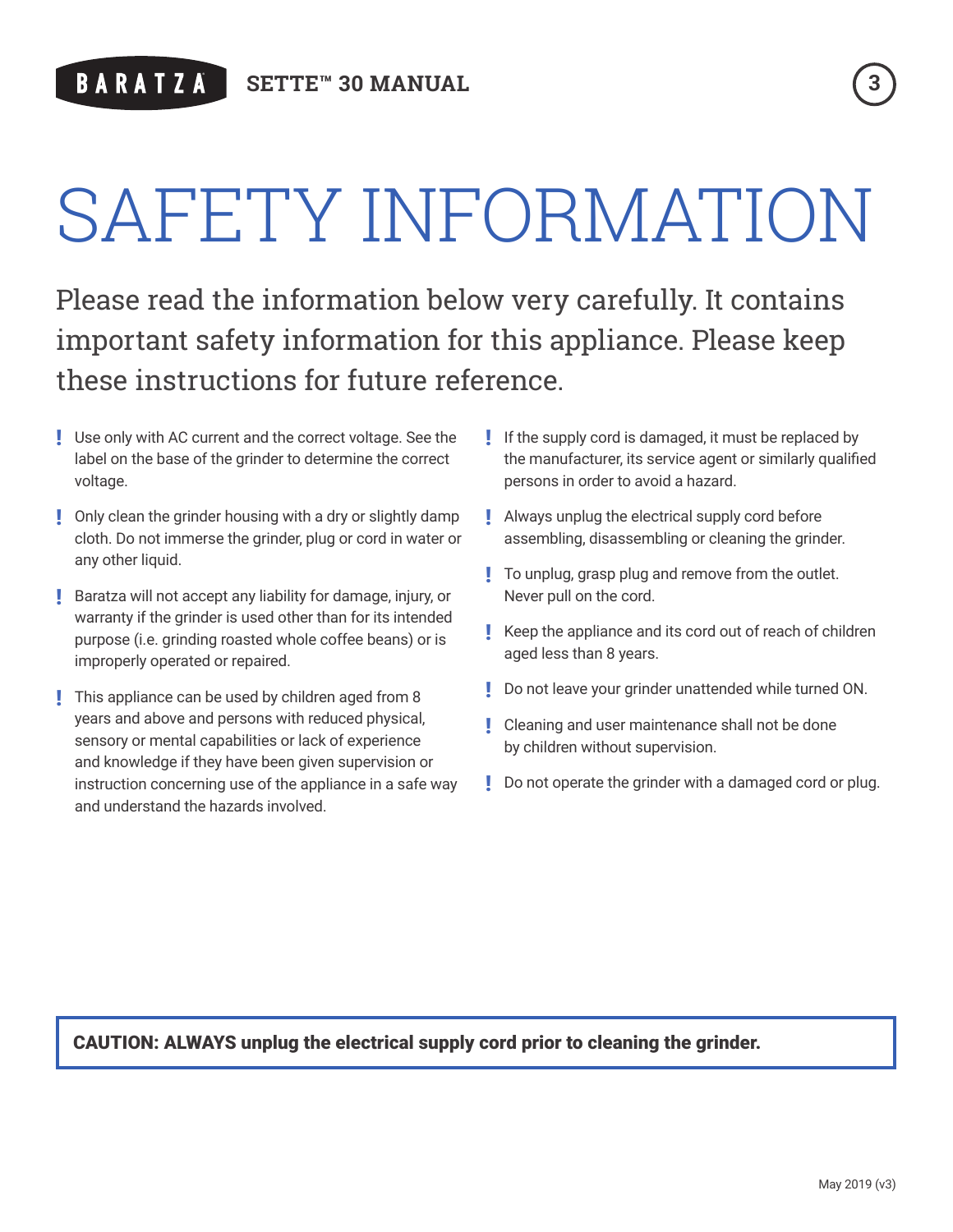# SAFETY INFORMATION

Please read the information below very carefully. It contains important safety information for this appliance. Please keep these instructions for future reference.

- ! Use only with AC current and the correct voltage. See the label on the base of the grinder to determine the correct voltage.
- **!** Only clean the grinder housing with a dry or slightly damp cloth. Do not immerse the grinder, plug or cord in water or any other liquid.
- ! Baratza will not accept any liability for damage, injury, or warranty if the grinder is used other than for its intended purpose (i.e. grinding roasted whole coffee beans) or is improperly operated or repaired.
- **I** This appliance can be used by children aged from 8 years and above and persons with reduced physical, sensory or mental capabilities or lack of experience and knowledge if they have been given supervision or instruction concerning use of the appliance in a safe way and understand the hazards involved.
- ! If the supply cord is damaged, it must be replaced by the manufacturer, its service agent or similarly qualified persons in order to avoid a hazard.
- **.** Always unplug the electrical supply cord before assembling, disassembling or cleaning the grinder.
- ! To unplug, grasp plug and remove from the outlet. Never pull on the cord.
- ! Keep the appliance and its cord out of reach of children aged less than 8 years.
- ! Do not leave your grinder unattended while turned ON.
- **!** Cleaning and user maintenance shall not be done by children without supervision.
- **Do not operate the grinder with a damaged cord or plug.**

### CAUTION: ALWAYS unplug the electrical supply cord prior to cleaning the grinder.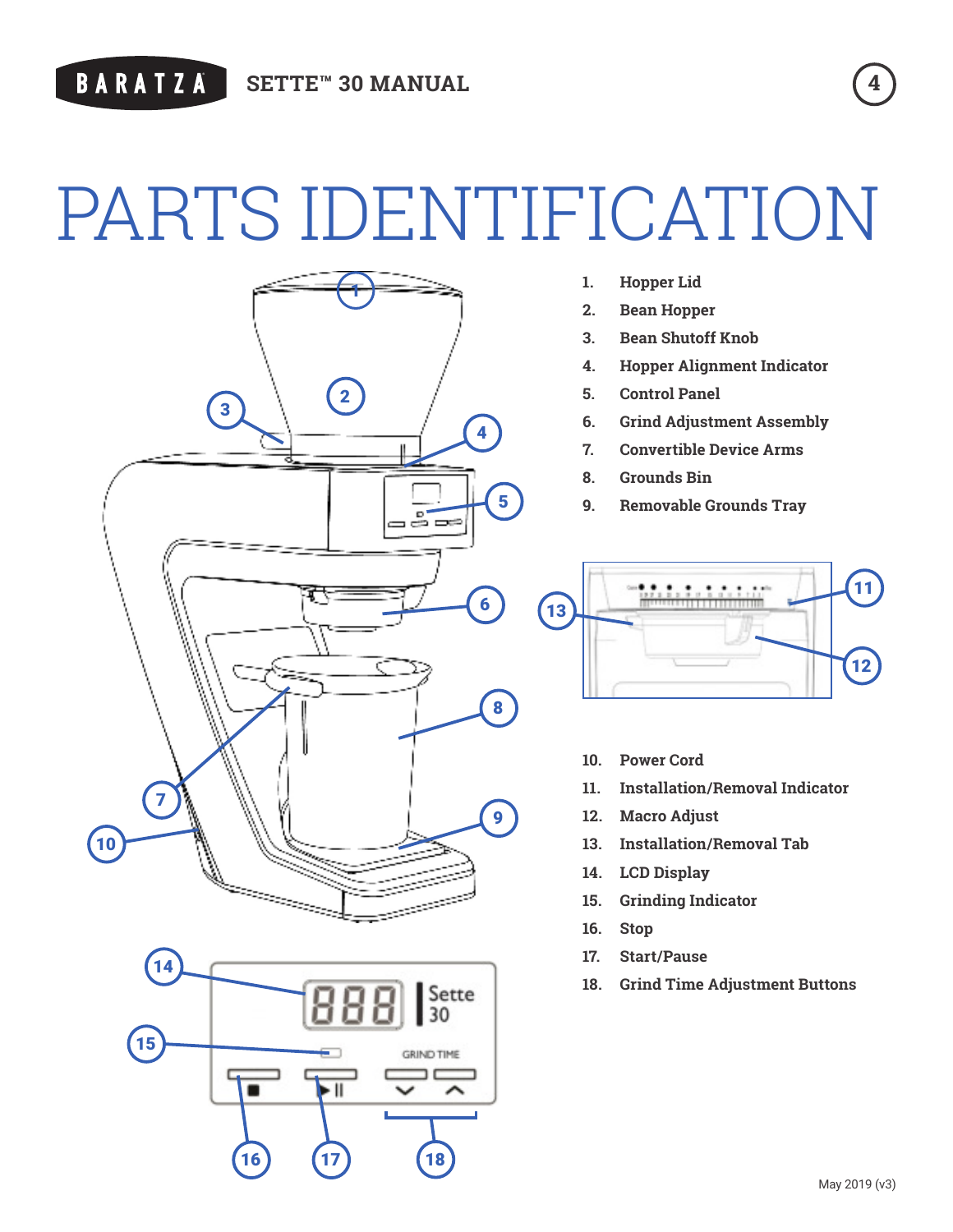# PARTS IDENTIFICATION





- **1. Hopper Lid**
- **2. Bean Hopper**
- **3. Bean Shutoff Knob**
- **4. Hopper Alignment Indicator**
- **5. Control Panel**
- **6. Grind Adjustment Assembly**
- **7. Convertible Device Arms**
- **8. Grounds Bin**
- **9. Removable Grounds Tray**



- **10. Power Cord**
- **11. Installation/Removal Indicator**
- **12. Macro Adjust**
- **13. Installation/Removal Tab**
- **14. LCD Display**
- **15. Grinding Indicator**
- **16. Stop**
- **17. Start/Pause**
- **18. Grind Time Adjustment Buttons**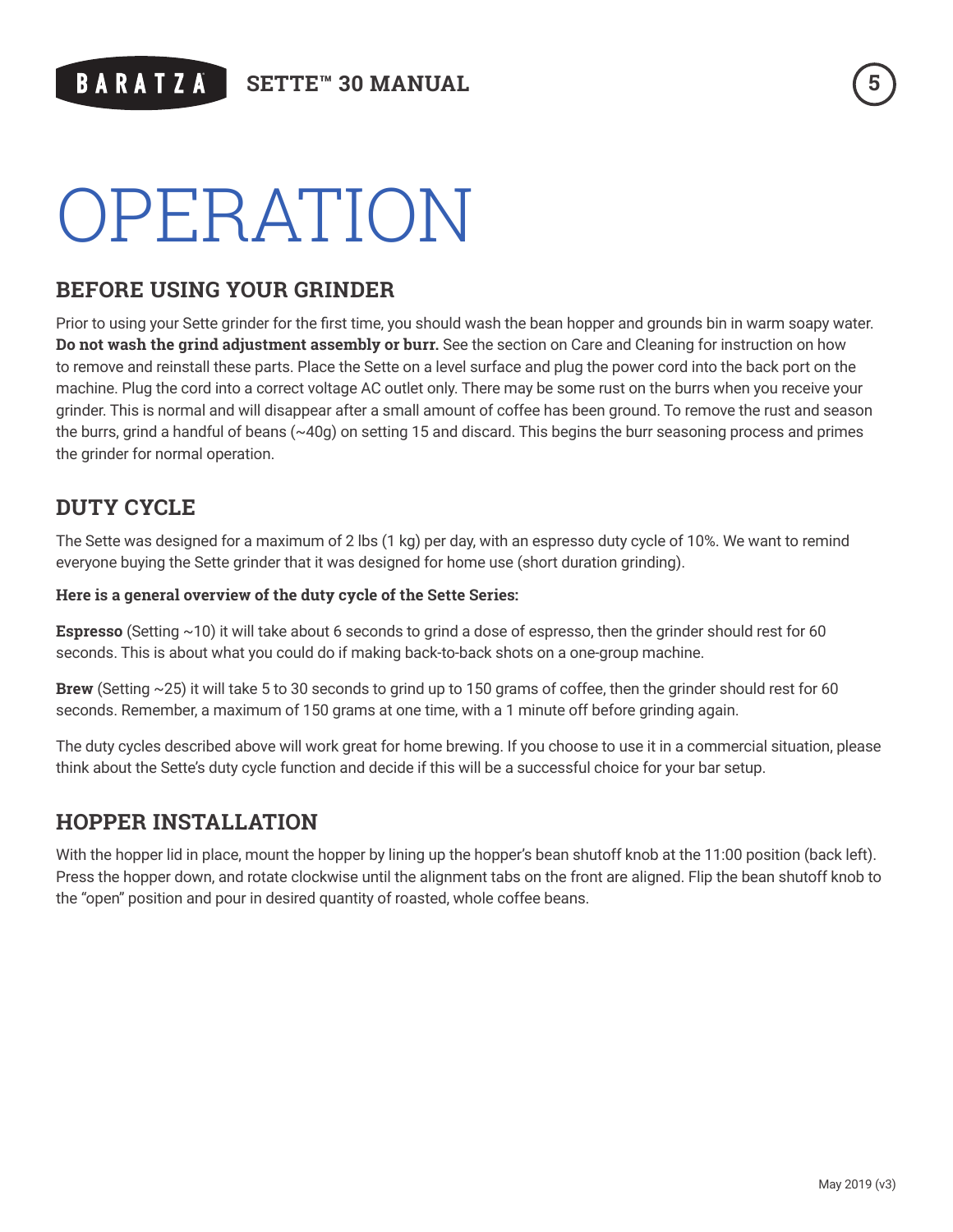# OPERATION

# **BEFORE USING YOUR GRINDER**

Prior to using your Sette grinder for the first time, you should wash the bean hopper and grounds bin in warm soapy water. **Do not wash the grind adjustment assembly or burr.** See the section on Care and Cleaning for instruction on how to remove and reinstall these parts. Place the Sette on a level surface and plug the power cord into the back port on the machine. Plug the cord into a correct voltage AC outlet only. There may be some rust on the burrs when you receive your grinder. This is normal and will disappear after a small amount of coffee has been ground. To remove the rust and season the burrs, grind a handful of beans (~40g) on setting 15 and discard. This begins the burr seasoning process and primes the grinder for normal operation.

# **DUTY CYCLE**

The Sette was designed for a maximum of 2 lbs (1 kg) per day, with an espresso duty cycle of 10%. We want to remind everyone buying the Sette grinder that it was designed for home use (short duration grinding).

#### **Here is a general overview of the duty cycle of the Sette Series:**

**Espresso** (Setting ~10) it will take about 6 seconds to grind a dose of espresso, then the grinder should rest for 60 seconds. This is about what you could do if making back-to-back shots on a one-group machine.

**Brew** (Setting ~25) it will take 5 to 30 seconds to grind up to 150 grams of coffee, then the grinder should rest for 60 seconds. Remember, a maximum of 150 grams at one time, with a 1 minute off before grinding again.

The duty cycles described above will work great for home brewing. If you choose to use it in a commercial situation, please think about the Sette's duty cycle function and decide if this will be a successful choice for your bar setup.

### **HOPPER INSTALLATION**

With the hopper lid in place, mount the hopper by lining up the hopper's bean shutoff knob at the 11:00 position (back left). Press the hopper down, and rotate clockwise until the alignment tabs on the front are aligned. Flip the bean shutoff knob to the "open" position and pour in desired quantity of roasted, whole coffee beans.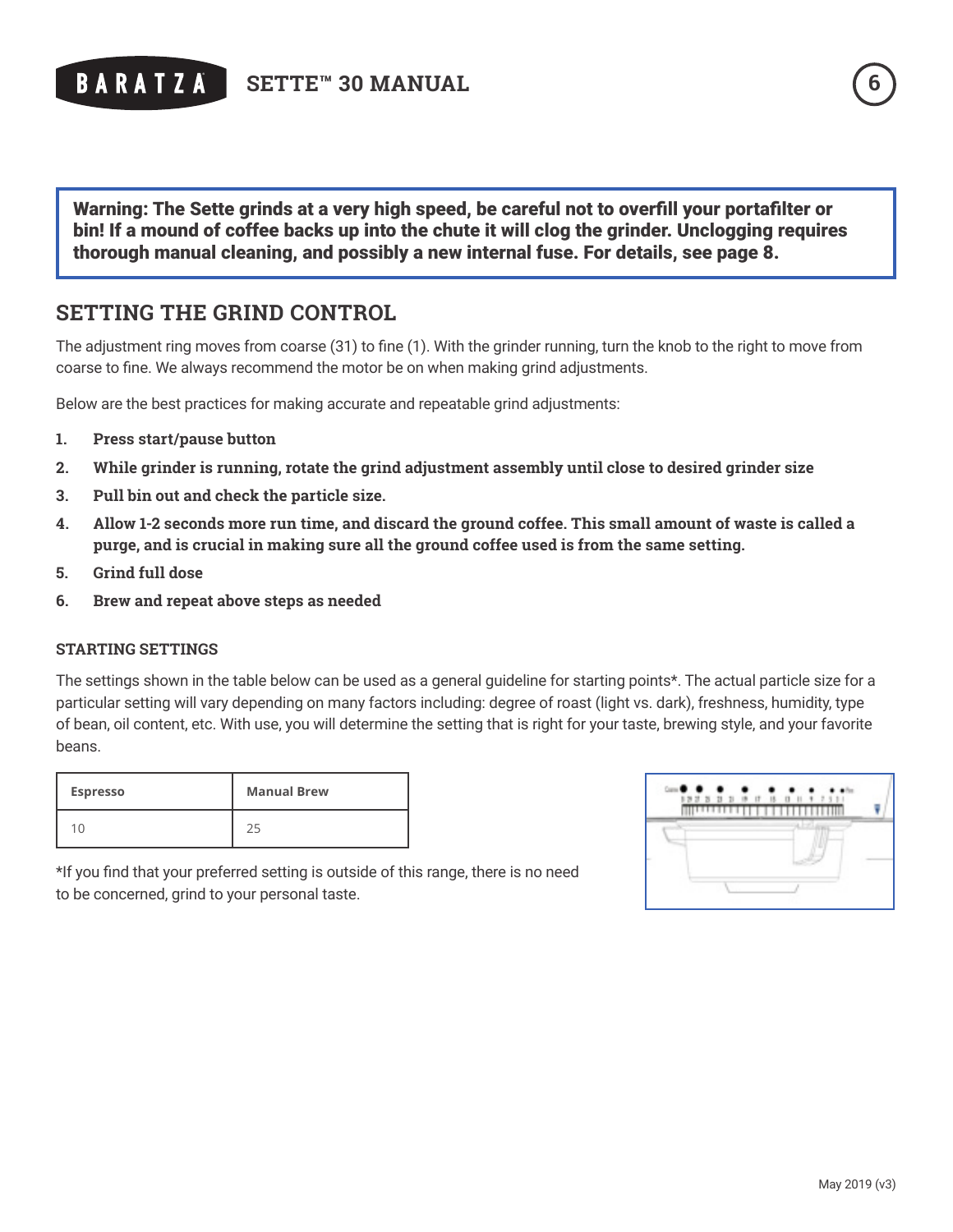

Warning: The Sette grinds at a very high speed, be careful not to overfill your portafilter or bin! If a mound of coffee backs up into the chute it will clog the grinder. Unclogging requires thorough manual cleaning, and possibly a new internal fuse. For details, see page 8.

### **SETTING THE GRIND CONTROL**

The adjustment ring moves from coarse (31) to fine (1). With the grinder running, turn the knob to the right to move from coarse to fine. We always recommend the motor be on when making grind adjustments.

Below are the best practices for making accurate and repeatable grind adjustments:

- **1. Press start/pause button**
- **2. While grinder is running, rotate the grind adjustment assembly until close to desired grinder size**
- **3. Pull bin out and check the particle size.**
- **4. Allow 1-2 seconds more run time, and discard the ground coffee. This small amount of waste is called a purge, and is crucial in making sure all the ground coffee used is from the same setting.**
- **5. Grind full dose**
- **6. Brew and repeat above steps as needed**

#### **STARTING SETTINGS**

The settings shown in the table below can be used as a general guideline for starting points\*. The actual particle size for a particular setting will vary depending on many factors including: degree of roast (light vs. dark), freshness, humidity, type of bean, oil content, etc. With use, you will determine the setting that is right for your taste, brewing style, and your favorite beans.

| <b>Espresso</b> | <b>Manual Brew</b> |
|-----------------|--------------------|
|                 |                    |

| $\overline{\mathbf{z}}$<br>$\mathbb{R}$<br>т | $\rightarrow$<br>17 |  |
|----------------------------------------------|---------------------|--|
|                                              |                     |  |
|                                              |                     |  |
|                                              |                     |  |
|                                              |                     |  |

\*If you find that your preferred setting is outside of this range, there is no need to be concerned, grind to your personal taste.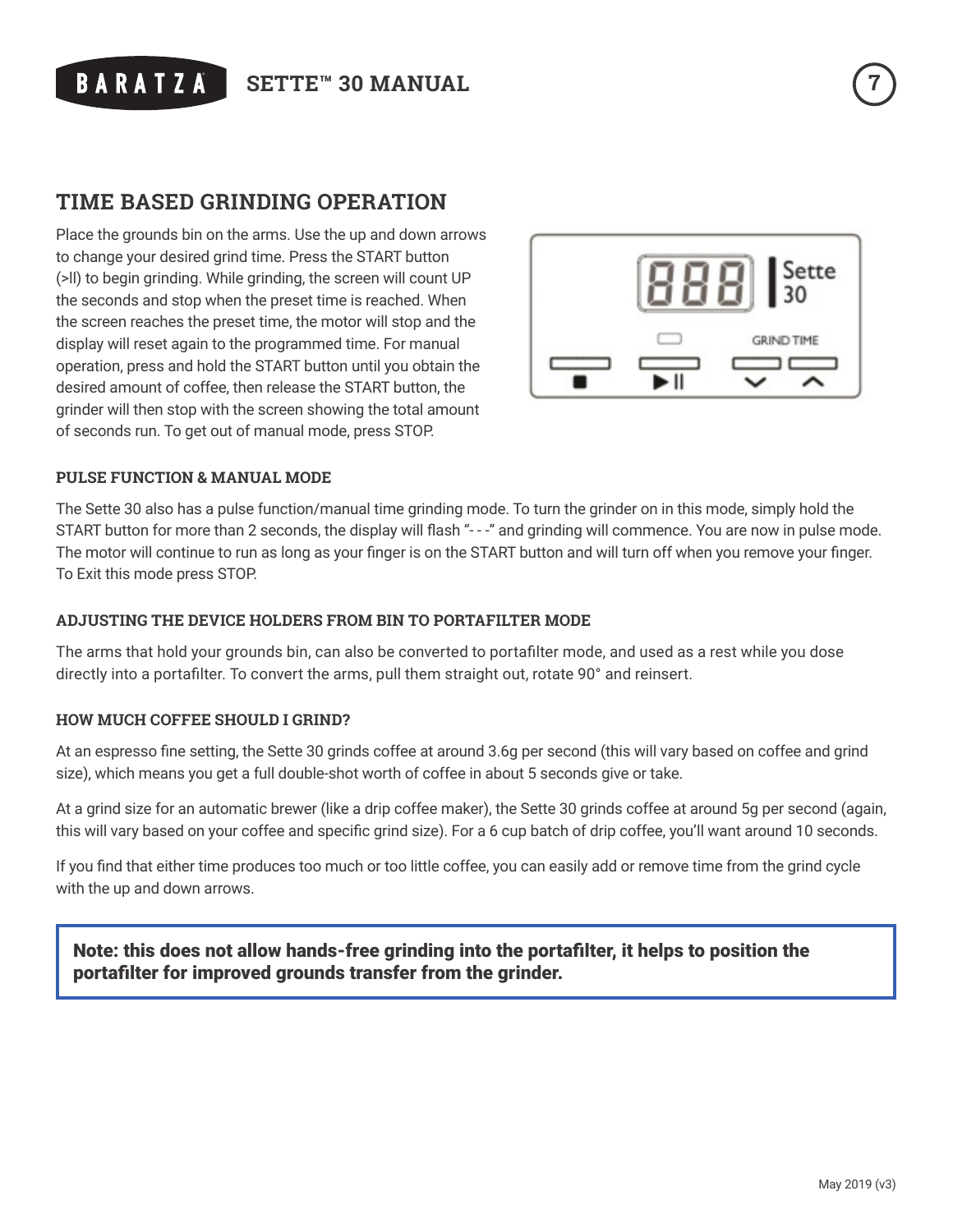

## **TIME BASED GRINDING OPERATION**

Place the grounds bin on the arms. Use the up and down arrows to change your desired grind time. Press the START button (>ll) to begin grinding. While grinding, the screen will count UP the seconds and stop when the preset time is reached. When the screen reaches the preset time, the motor will stop and the display will reset again to the programmed time. For manual operation, press and hold the START button until you obtain the desired amount of coffee, then release the START button, the grinder will then stop with the screen showing the total amount of seconds run. To get out of manual mode, press STOP.



#### **PULSE FUNCTION & MANUAL MODE**

The Sette 30 also has a pulse function/manual time grinding mode. To turn the grinder on in this mode, simply hold the START button for more than 2 seconds, the display will flash "---" and grinding will commence. You are now in pulse mode. The motor will continue to run as long as your finger is on the START button and will turn off when you remove your finger. To Exit this mode press STOP.

#### **ADJUSTING THE DEVICE HOLDERS FROM BIN TO PORTAFILTER MODE**

The arms that hold your grounds bin, can also be converted to portafilter mode, and used as a rest while you dose directly into a portafilter. To convert the arms, pull them straight out, rotate 90° and reinsert.

#### **HOW MUCH COFFEE SHOULD I GRIND?**

At an espresso fine setting, the Sette 30 grinds coffee at around 3.6g per second (this will vary based on coffee and grind size), which means you get a full double-shot worth of coffee in about 5 seconds give or take.

At a grind size for an automatic brewer (like a drip coffee maker), the Sette 30 grinds coffee at around 5g per second (again, this will vary based on your coffee and specific grind size). For a 6 cup batch of drip coffee, you'll want around 10 seconds.

If you find that either time produces too much or too little coffee, you can easily add or remove time from the grind cycle with the up and down arrows.

Note: this does not allow hands-free grinding into the portafilter, it helps to position the portafilter for improved grounds transfer from the grinder.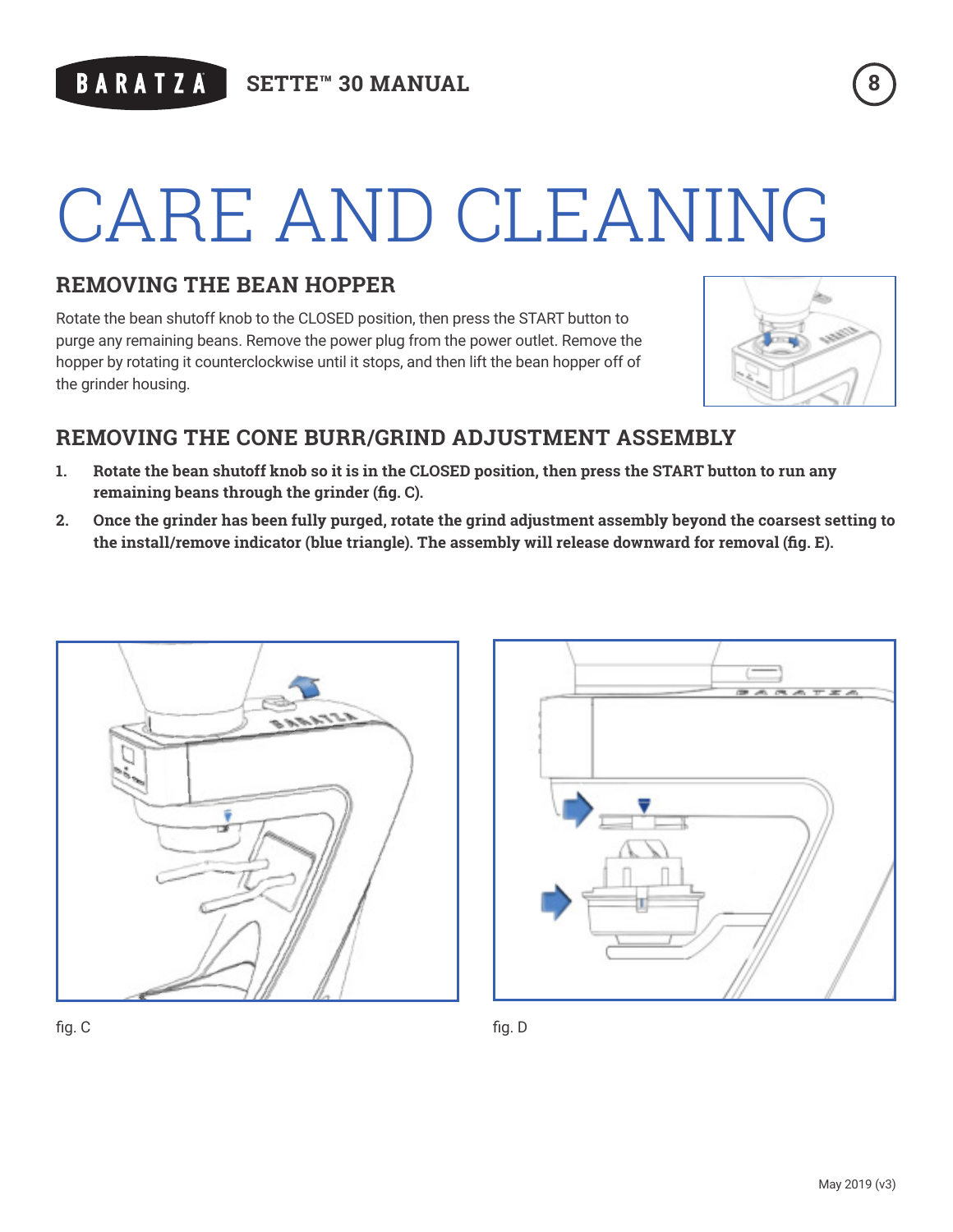# CARE AND CLEANING

# **REMOVING THE BEAN HOPPER**

Rotate the bean shutoff knob to the CLOSED position, then press the START button to purge any remaining beans. Remove the power plug from the power outlet. Remove the hopper by rotating it counterclockwise until it stops, and then lift the bean hopper off of the grinder housing.



# **REMOVING THE CONE BURR/GRIND ADJUSTMENT ASSEMBLY**

- **1. Rotate the bean shutoff knob so it is in the CLOSED position, then press the START button to run any remaining beans through the grinder (fig. C).**
- **2. Once the grinder has been fully purged, rotate the grind adjustment assembly beyond the coarsest setting to the install/remove indicator (blue triangle). The assembly will release downward for removal (fig. E).**





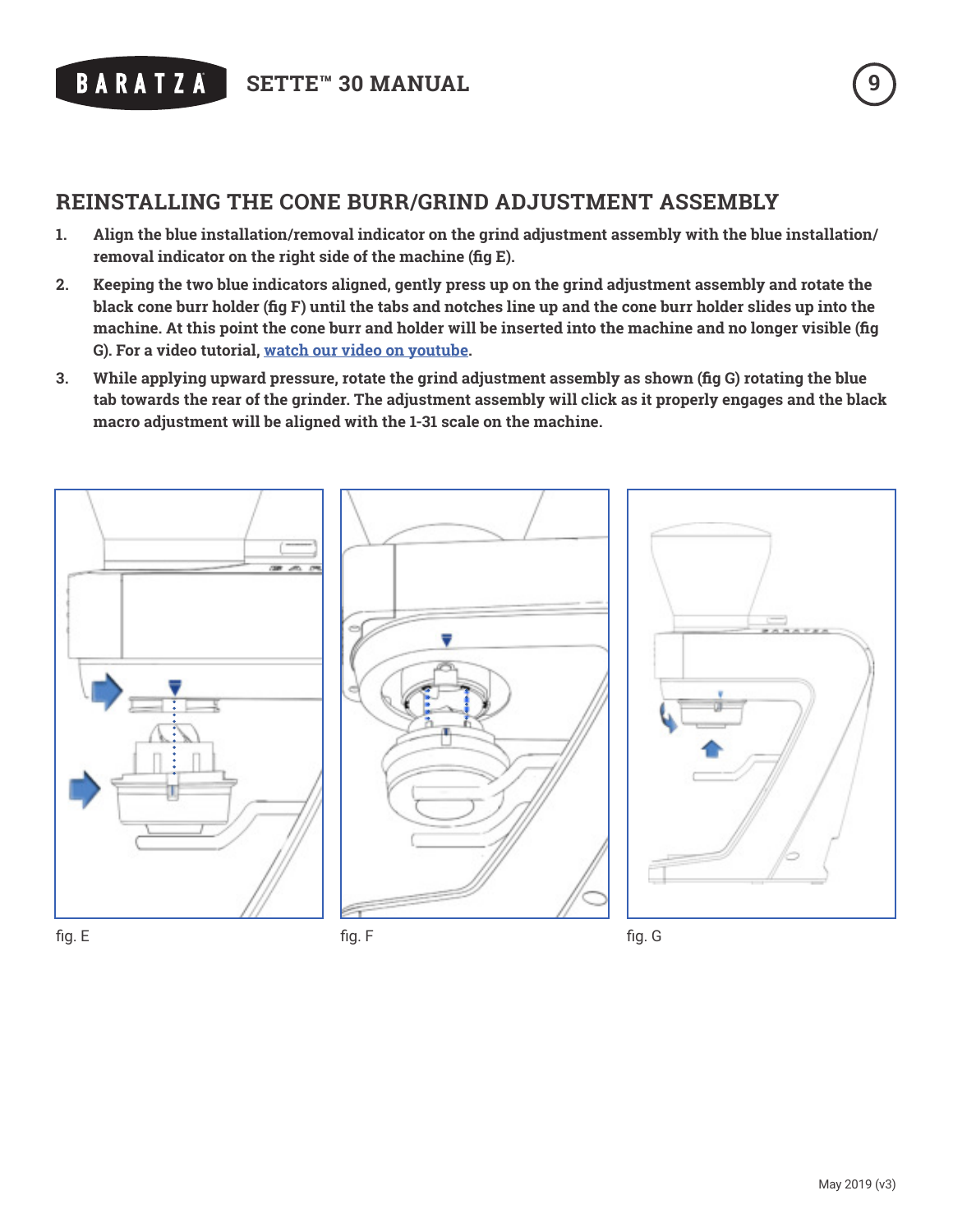

# **REINSTALLING THE CONE BURR/GRIND ADJUSTMENT ASSEMBLY**

- **1. Align the blue installation/removal indicator on the grind adjustment assembly with the blue installation/ removal indicator on the right side of the machine (fig E).**
- **2. Keeping the two blue indicators aligned, gently press up on the grind adjustment assembly and rotate the black cone burr holder (fig F) until the tabs and notches line up and the cone burr holder slides up into the machine. At this point the cone burr and holder will be inserted into the machine and no longer visible (fig G). For a video tutorial, [watch our video on youtube.](http://www.youtube.com/user/Baratzallc1)**
- **3. While applying upward pressure, rotate the grind adjustment assembly as shown (fig G) rotating the blue tab towards the rear of the grinder. The adjustment assembly will click as it properly engages and the black macro adjustment will be aligned with the 1-31 scale on the machine.**

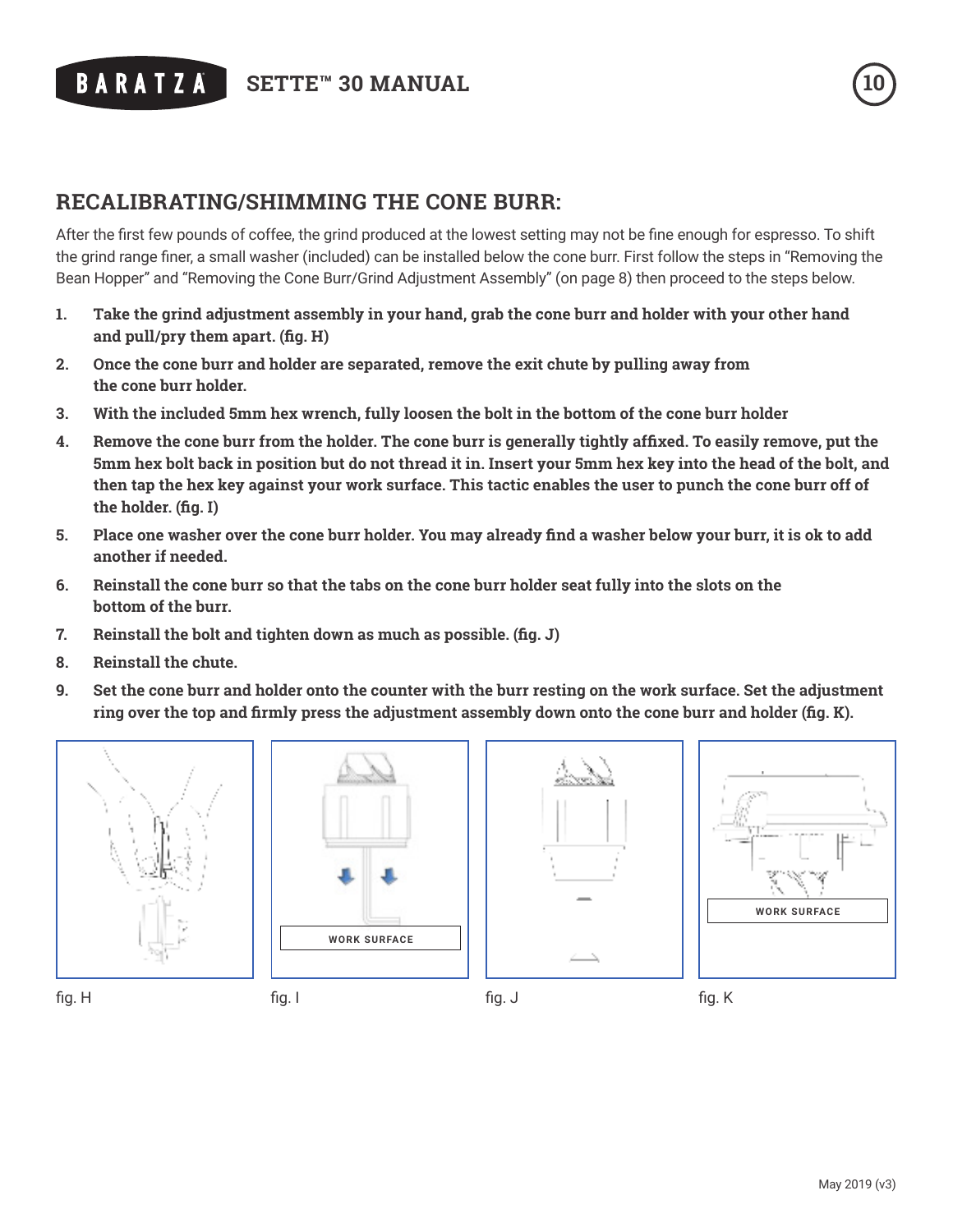# ® **SETTE™ 30 MANUAL 10**

## **RECALIBRATING/SHIMMING THE CONE BURR:**

After the first few pounds of coffee, the grind produced at the lowest setting may not be fine enough for espresso. To shift the grind range finer, a small washer (included) can be installed below the cone burr. First follow the steps in "Removing the Bean Hopper" and "Removing the Cone Burr/Grind Adjustment Assembly" (on page 8) then proceed to the steps below.

- **1. Take the grind adjustment assembly in your hand, grab the cone burr and holder with your other hand and pull/pry them apart. (fig. H)**
- **2. Once the cone burr and holder are separated, remove the exit chute by pulling away from the cone burr holder.**
- **3. With the included 5mm hex wrench, fully loosen the bolt in the bottom of the cone burr holder**
- **4. Remove the cone burr from the holder. The cone burr is generally tightly affixed. To easily remove, put the 5mm hex bolt back in position but do not thread it in. Insert your 5mm hex key into the head of the bolt, and then tap the hex key against your work surface. This tactic enables the user to punch the cone burr off of the holder. (fig. I)**
- **5. Place one washer over the cone burr holder. You may already find a washer below your burr, it is ok to add another if needed.**
- **6. Reinstall the cone burr so that the tabs on the cone burr holder seat fully into the slots on the bottom of the burr.**
- **7. Reinstall the bolt and tighten down as much as possible. (fig. J)**
- **8. Reinstall the chute.**
- **9. Set the cone burr and holder onto the counter with the burr resting on the work surface. Set the adjustment ring over the top and firmly press the adjustment assembly down onto the cone burr and holder (fig. K).**











 $f$ ig. H fig. I

fig. J fig. K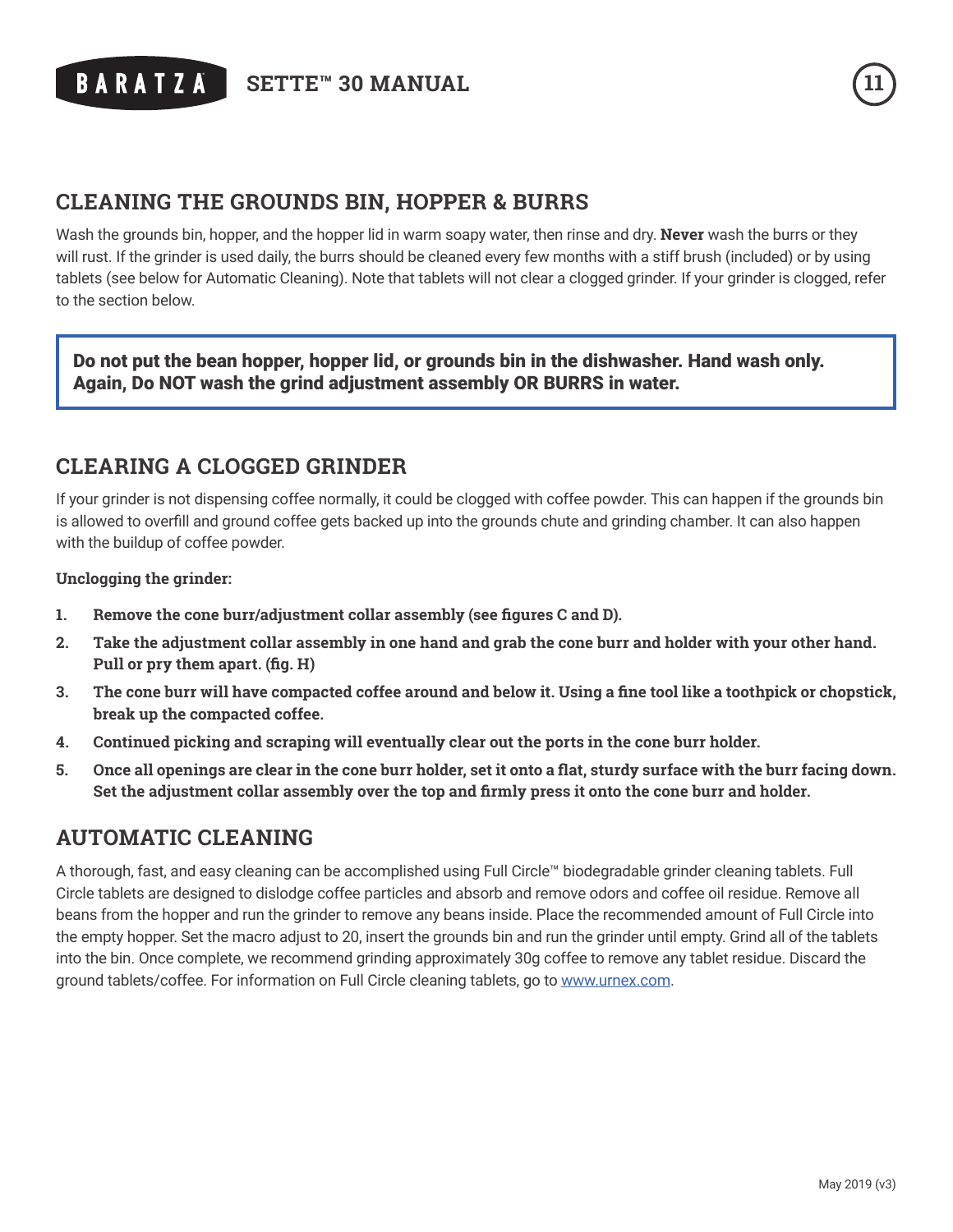® **SETTE™ 30 MANUAL 11**

### **CLEANING THE GROUNDS BIN, HOPPER & BURRS**

Wash the grounds bin, hopper, and the hopper lid in warm soapy water, then rinse and dry. **Never** wash the burrs or they will rust. If the grinder is used daily, the burrs should be cleaned every few months with a stiff brush (included) or by using tablets (see below for Automatic Cleaning). Note that tablets will not clear a clogged grinder. If your grinder is clogged, refer to the section below.

Do not put the bean hopper, hopper lid, or grounds bin in the dishwasher. Hand wash only. Again, Do NOT wash the grind adjustment assembly OR BURRS in water.

### **CLEARING A CLOGGED GRINDER**

If your grinder is not dispensing coffee normally, it could be clogged with coffee powder. This can happen if the grounds bin is allowed to overfill and ground coffee gets backed up into the grounds chute and grinding chamber. It can also happen with the buildup of coffee powder.

#### **Unclogging the grinder:**

- **1. Remove the cone burr/adjustment collar assembly (see figures C and D).**
- **2. Take the adjustment collar assembly in one hand and grab the cone burr and holder with your other hand. Pull or pry them apart. (fig. H)**
- **3. The cone burr will have compacted coffee around and below it. Using a fine tool like a toothpick or chopstick, break up the compacted coffee.**
- **4. Continued picking and scraping will eventually clear out the ports in the cone burr holder.**
- **5. Once all openings are clear in the cone burr holder, set it onto a flat, sturdy surface with the burr facing down. Set the adjustment collar assembly over the top and firmly press it onto the cone burr and holder.**

### **AUTOMATIC CLEANING**

A thorough, fast, and easy cleaning can be accomplished using Full Circle™ biodegradable grinder cleaning tablets. Full Circle tablets are designed to dislodge coffee particles and absorb and remove odors and coffee oil residue. Remove all beans from the hopper and run the grinder to remove any beans inside. Place the recommended amount of Full Circle into the empty hopper. Set the macro adjust to 20, insert the grounds bin and run the grinder until empty. Grind all of the tablets into the bin. Once complete, we recommend grinding approximately 30g coffee to remove any tablet residue. Discard the ground tablets/coffee. For information on Full Circle cleaning tablets, go to [www.urnex.com.](http://www.urnex.com)